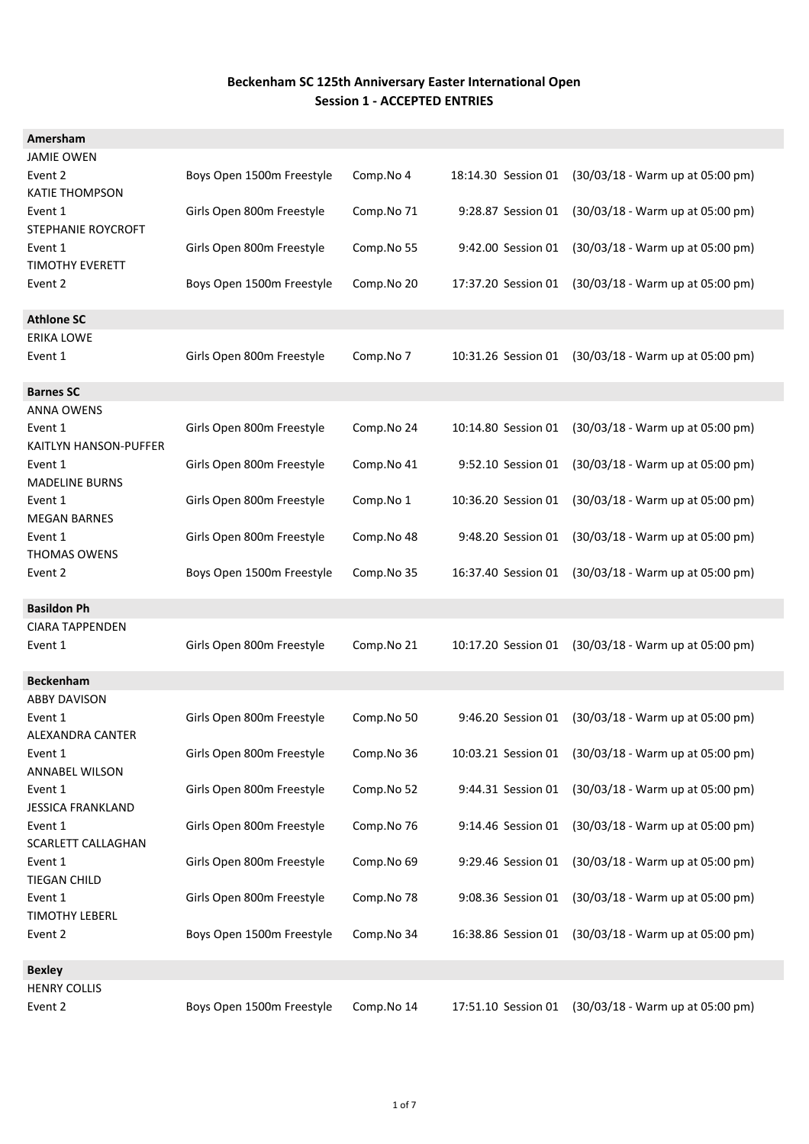| Amersham                 |                           |            |                     |                                    |
|--------------------------|---------------------------|------------|---------------------|------------------------------------|
| <b>JAMIE OWEN</b>        |                           |            |                     |                                    |
| Event 2                  | Boys Open 1500m Freestyle | Comp.No 4  | 18:14.30 Session 01 | (30/03/18 - Warm up at 05:00 pm)   |
| <b>KATIE THOMPSON</b>    |                           |            |                     |                                    |
| Event 1                  | Girls Open 800m Freestyle | Comp.No 71 | 9:28.87 Session 01  | (30/03/18 - Warm up at 05:00 pm)   |
| STEPHANIE ROYCROFT       |                           |            |                     |                                    |
| Event 1                  | Girls Open 800m Freestyle | Comp.No 55 | 9:42.00 Session 01  | (30/03/18 - Warm up at 05:00 pm)   |
| TIMOTHY EVERETT          |                           |            |                     |                                    |
| Event 2                  | Boys Open 1500m Freestyle | Comp.No 20 | 17:37.20 Session 01 | (30/03/18 - Warm up at 05:00 pm)   |
|                          |                           |            |                     |                                    |
| <b>Athlone SC</b>        |                           |            |                     |                                    |
| <b>ERIKA LOWE</b>        |                           |            |                     |                                    |
|                          |                           |            |                     |                                    |
| Event 1                  | Girls Open 800m Freestyle | Comp.No 7  | 10:31.26 Session 01 | (30/03/18 - Warm up at 05:00 pm)   |
|                          |                           |            |                     |                                    |
| <b>Barnes SC</b>         |                           |            |                     |                                    |
| ANNA OWENS               |                           |            |                     |                                    |
| Event 1                  | Girls Open 800m Freestyle | Comp.No 24 | 10:14.80 Session 01 | $(30/03/18 - Warm up at 05:00 pm)$ |
| KAITLYN HANSON-PUFFER    |                           |            |                     |                                    |
| Event 1                  | Girls Open 800m Freestyle | Comp.No 41 | 9:52.10 Session 01  | (30/03/18 - Warm up at 05:00 pm)   |
| <b>MADELINE BURNS</b>    |                           |            |                     |                                    |
| Event 1                  | Girls Open 800m Freestyle | Comp.No 1  | 10:36.20 Session 01 | (30/03/18 - Warm up at 05:00 pm)   |
| <b>MEGAN BARNES</b>      |                           |            |                     |                                    |
| Event 1                  | Girls Open 800m Freestyle | Comp.No 48 | 9:48.20 Session 01  | (30/03/18 - Warm up at 05:00 pm)   |
| <b>THOMAS OWENS</b>      |                           |            |                     |                                    |
| Event 2                  | Boys Open 1500m Freestyle | Comp.No 35 | 16:37.40 Session 01 | (30/03/18 - Warm up at 05:00 pm)   |
|                          |                           |            |                     |                                    |
| <b>Basildon Ph</b>       |                           |            |                     |                                    |
| <b>CIARA TAPPENDEN</b>   |                           |            |                     |                                    |
| Event 1                  | Girls Open 800m Freestyle | Comp.No 21 | 10:17.20 Session 01 | (30/03/18 - Warm up at 05:00 pm)   |
|                          |                           |            |                     |                                    |
| <b>Beckenham</b>         |                           |            |                     |                                    |
| <b>ABBY DAVISON</b>      |                           |            |                     |                                    |
| Event 1                  | Girls Open 800m Freestyle | Comp.No 50 | 9:46.20 Session 01  | (30/03/18 - Warm up at 05:00 pm)   |
| ALEXANDRA CANTER         |                           |            |                     |                                    |
| Event 1                  | Girls Open 800m Freestyle | Comp.No 36 | 10:03.21 Session 01 | (30/03/18 - Warm up at 05:00 pm)   |
| <b>ANNABEL WILSON</b>    |                           |            |                     |                                    |
| Event 1                  | Girls Open 800m Freestyle | Comp.No 52 | 9:44.31 Session 01  | (30/03/18 - Warm up at 05:00 pm)   |
| <b>JESSICA FRANKLAND</b> |                           |            |                     |                                    |
| Event 1                  | Girls Open 800m Freestyle | Comp.No 76 | 9:14.46 Session 01  | (30/03/18 - Warm up at 05:00 pm)   |
| SCARLETT CALLAGHAN       |                           |            |                     |                                    |
| Event 1                  | Girls Open 800m Freestyle | Comp.No 69 | 9:29.46 Session 01  | (30/03/18 - Warm up at 05:00 pm)   |
| <b>TIEGAN CHILD</b>      |                           |            |                     |                                    |
| Event 1                  | Girls Open 800m Freestyle | Comp.No 78 | 9:08.36 Session 01  | (30/03/18 - Warm up at 05:00 pm)   |
| <b>TIMOTHY LEBERL</b>    |                           |            |                     |                                    |
| Event 2                  | Boys Open 1500m Freestyle | Comp.No 34 | 16:38.86 Session 01 | (30/03/18 - Warm up at 05:00 pm)   |
|                          |                           |            |                     |                                    |
| <b>Bexley</b>            |                           |            |                     |                                    |
| <b>HENRY COLLIS</b>      |                           |            |                     |                                    |
| Event 2                  | Boys Open 1500m Freestyle | Comp.No 14 | 17:51.10 Session 01 | (30/03/18 - Warm up at 05:00 pm)   |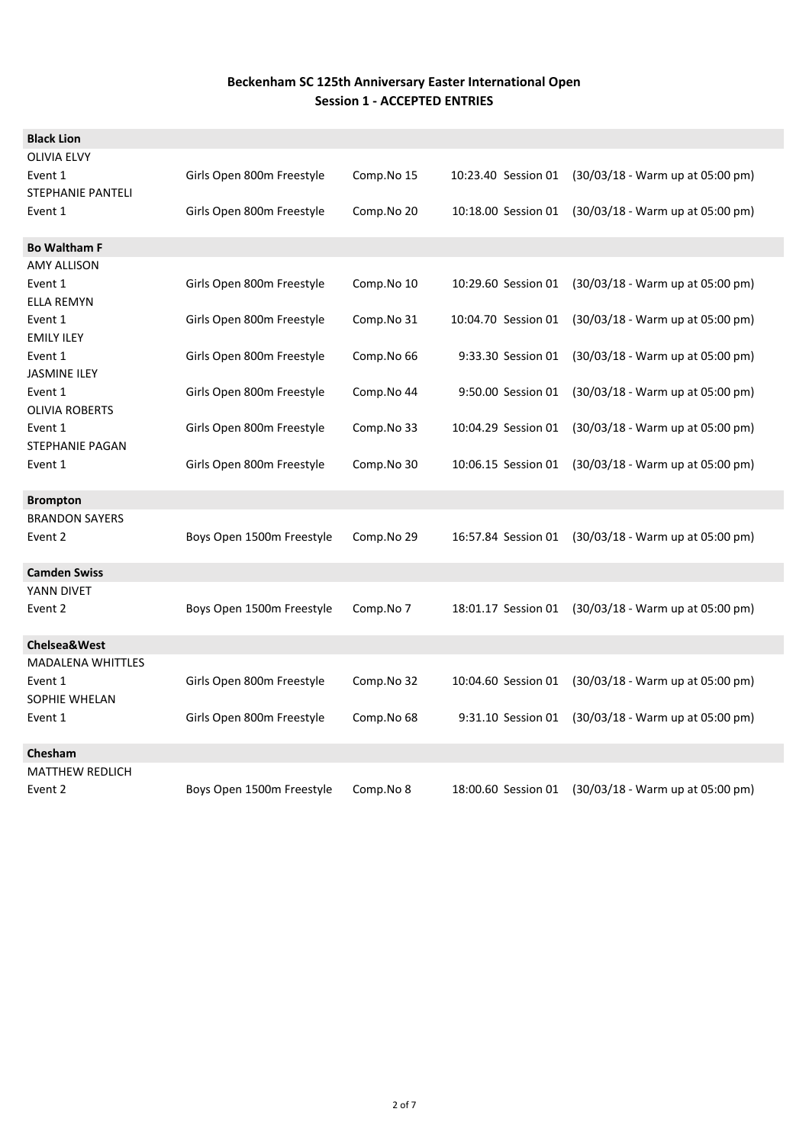| <b>Black Lion</b>                 |                           |            |                     |                                    |
|-----------------------------------|---------------------------|------------|---------------------|------------------------------------|
| <b>OLIVIA ELVY</b>                |                           |            |                     |                                    |
| Event 1                           | Girls Open 800m Freestyle | Comp.No 15 | 10:23.40 Session 01 | (30/03/18 - Warm up at 05:00 pm)   |
| <b>STEPHANIE PANTELI</b>          |                           |            |                     |                                    |
| Event 1                           | Girls Open 800m Freestyle | Comp.No 20 | 10:18.00 Session 01 | (30/03/18 - Warm up at 05:00 pm)   |
|                                   |                           |            |                     |                                    |
| <b>Bo Waltham F</b>               |                           |            |                     |                                    |
| AMY ALLISON                       |                           |            |                     |                                    |
| Event 1                           | Girls Open 800m Freestyle | Comp.No 10 | 10:29.60 Session 01 | (30/03/18 - Warm up at 05:00 pm)   |
| <b>ELLA REMYN</b>                 |                           |            |                     |                                    |
| Event 1                           | Girls Open 800m Freestyle | Comp.No 31 | 10:04.70 Session 01 | $(30/03/18 - Warm up at 05:00 pm)$ |
| <b>EMILY ILEY</b>                 |                           |            |                     |                                    |
| Event 1                           | Girls Open 800m Freestyle | Comp.No 66 | 9:33.30 Session 01  | $(30/03/18 - Warm up at 05:00 pm)$ |
| <b>JASMINE ILEY</b>               |                           |            |                     |                                    |
| Event 1                           | Girls Open 800m Freestyle | Comp.No 44 | 9:50.00 Session 01  | (30/03/18 - Warm up at 05:00 pm)   |
| <b>OLIVIA ROBERTS</b>             |                           |            |                     |                                    |
| Event 1<br><b>STEPHANIE PAGAN</b> | Girls Open 800m Freestyle | Comp.No 33 | 10:04.29 Session 01 | (30/03/18 - Warm up at 05:00 pm)   |
| Event 1                           | Girls Open 800m Freestyle |            |                     | (30/03/18 - Warm up at 05:00 pm)   |
|                                   |                           | Comp.No 30 | 10:06.15 Session 01 |                                    |
| <b>Brompton</b>                   |                           |            |                     |                                    |
| <b>BRANDON SAYERS</b>             |                           |            |                     |                                    |
| Event 2                           | Boys Open 1500m Freestyle | Comp.No 29 | 16:57.84 Session 01 | (30/03/18 - Warm up at 05:00 pm)   |
|                                   |                           |            |                     |                                    |
| <b>Camden Swiss</b>               |                           |            |                     |                                    |
| YANN DIVET                        |                           |            |                     |                                    |
| Event 2                           | Boys Open 1500m Freestyle | Comp.No 7  | 18:01.17 Session 01 | (30/03/18 - Warm up at 05:00 pm)   |
|                                   |                           |            |                     |                                    |
| <b>Chelsea&amp;West</b>           |                           |            |                     |                                    |
| <b>MADALENA WHITTLES</b>          |                           |            |                     |                                    |
| Event 1                           | Girls Open 800m Freestyle | Comp.No 32 | 10:04.60 Session 01 | (30/03/18 - Warm up at 05:00 pm)   |
| SOPHIE WHELAN                     |                           |            |                     |                                    |
| Event 1                           | Girls Open 800m Freestyle | Comp.No 68 | 9:31.10 Session 01  | $(30/03/18 - Warm up at 05:00 pm)$ |
| Chesham                           |                           |            |                     |                                    |
| <b>MATTHEW REDLICH</b>            |                           |            |                     |                                    |
| Event 2                           | Boys Open 1500m Freestyle | Comp.No 8  | 18:00.60 Session 01 | $(30/03/18 - Warm up at 05:00 pm)$ |
|                                   |                           |            |                     |                                    |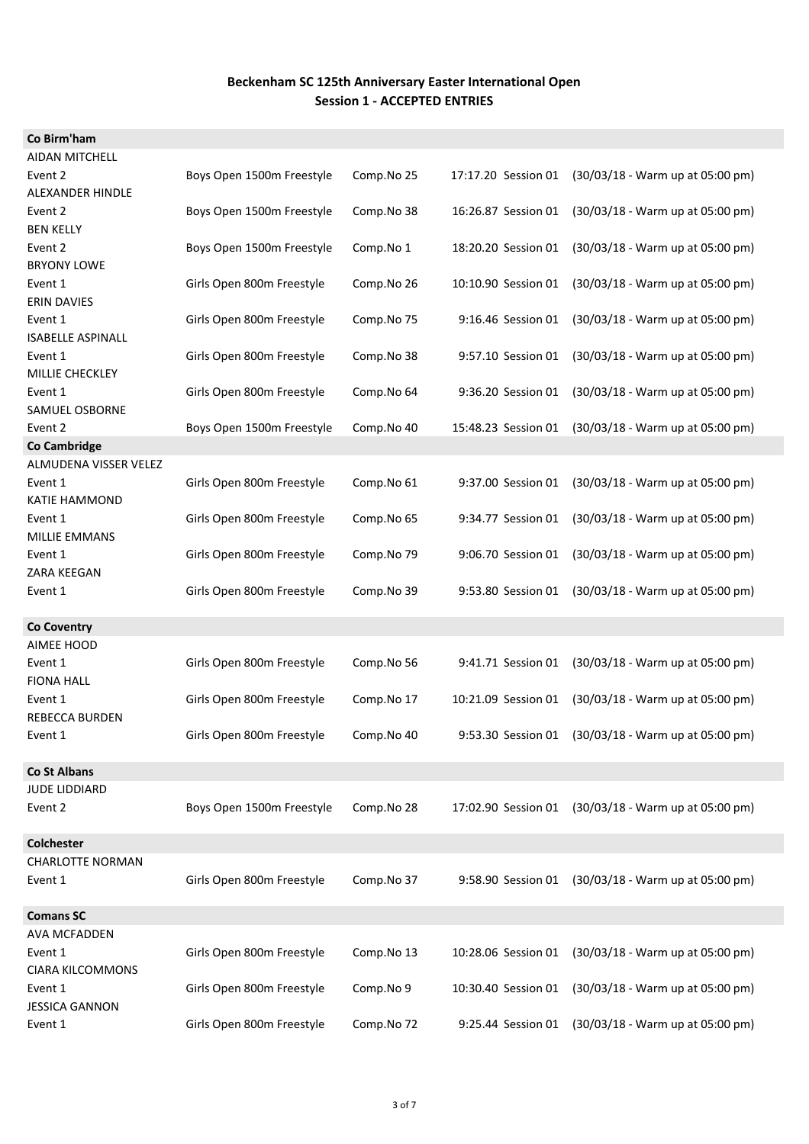| Co Birm'ham                      |                           |            |                     |                                                     |
|----------------------------------|---------------------------|------------|---------------------|-----------------------------------------------------|
| <b>AIDAN MITCHELL</b>            |                           |            |                     |                                                     |
| Event 2                          | Boys Open 1500m Freestyle | Comp.No 25 | 17:17.20 Session 01 | (30/03/18 - Warm up at 05:00 pm)                    |
| ALEXANDER HINDLE                 |                           |            |                     |                                                     |
| Event 2                          | Boys Open 1500m Freestyle | Comp.No 38 | 16:26.87 Session 01 | (30/03/18 - Warm up at 05:00 pm)                    |
| <b>BEN KELLY</b>                 |                           |            |                     |                                                     |
| Event 2                          | Boys Open 1500m Freestyle | Comp.No 1  | 18:20.20 Session 01 | (30/03/18 - Warm up at 05:00 pm)                    |
| <b>BRYONY LOWE</b>               |                           |            |                     |                                                     |
| Event 1                          | Girls Open 800m Freestyle | Comp.No 26 | 10:10.90 Session 01 | (30/03/18 - Warm up at 05:00 pm)                    |
| <b>ERIN DAVIES</b>               |                           |            |                     |                                                     |
| Event 1                          | Girls Open 800m Freestyle | Comp.No 75 | 9:16.46 Session 01  | (30/03/18 - Warm up at 05:00 pm)                    |
| <b>ISABELLE ASPINALL</b>         |                           |            |                     |                                                     |
| Event 1                          | Girls Open 800m Freestyle | Comp.No 38 | 9:57.10 Session 01  | (30/03/18 - Warm up at 05:00 pm)                    |
| MILLIE CHECKLEY                  |                           |            |                     |                                                     |
| Event 1                          | Girls Open 800m Freestyle | Comp.No 64 | 9:36.20 Session 01  | (30/03/18 - Warm up at 05:00 pm)                    |
| <b>SAMUEL OSBORNE</b>            |                           |            |                     |                                                     |
| Event 2                          | Boys Open 1500m Freestyle | Comp.No 40 | 15:48.23 Session 01 | (30/03/18 - Warm up at 05:00 pm)                    |
| <b>Co Cambridge</b>              |                           |            |                     |                                                     |
| ALMUDENA VISSER VELEZ            |                           |            |                     |                                                     |
| Event 1                          | Girls Open 800m Freestyle | Comp.No 61 | 9:37.00 Session 01  | (30/03/18 - Warm up at 05:00 pm)                    |
| <b>KATIE HAMMOND</b>             |                           |            |                     |                                                     |
| Event 1                          | Girls Open 800m Freestyle | Comp.No 65 | 9:34.77 Session 01  | (30/03/18 - Warm up at 05:00 pm)                    |
| <b>MILLIE EMMANS</b>             |                           |            |                     |                                                     |
| Event 1                          | Girls Open 800m Freestyle | Comp.No 79 | 9:06.70 Session 01  | (30/03/18 - Warm up at 05:00 pm)                    |
| ZARA KEEGAN                      |                           |            |                     |                                                     |
| Event 1                          | Girls Open 800m Freestyle | Comp.No 39 | 9:53.80 Session 01  | (30/03/18 - Warm up at 05:00 pm)                    |
|                                  |                           |            |                     |                                                     |
| <b>Co Coventry</b>               |                           |            |                     |                                                     |
| AIMEE HOOD                       |                           |            |                     |                                                     |
| Event 1                          | Girls Open 800m Freestyle | Comp.No 56 | 9:41.71 Session 01  | (30/03/18 - Warm up at 05:00 pm)                    |
| <b>FIONA HALL</b>                |                           |            |                     |                                                     |
|                                  |                           |            |                     |                                                     |
| Event 1                          | Girls Open 800m Freestyle | Comp.No 17 | 10:21.09 Session 01 | (30/03/18 - Warm up at 05:00 pm)                    |
| <b>REBECCA BURDEN</b>            |                           |            |                     |                                                     |
| Event 1                          | Girls Open 800m Freestyle | Comp.No 40 |                     | 9:53.30 Session 01 (30/03/18 - Warm up at 05:00 pm) |
|                                  |                           |            |                     |                                                     |
| <b>Co St Albans</b>              |                           |            |                     |                                                     |
| <b>JUDE LIDDIARD</b>             |                           |            |                     |                                                     |
| Event 2                          | Boys Open 1500m Freestyle | Comp.No 28 | 17:02.90 Session 01 | (30/03/18 - Warm up at 05:00 pm)                    |
|                                  |                           |            |                     |                                                     |
| Colchester                       |                           |            |                     |                                                     |
| <b>CHARLOTTE NORMAN</b>          |                           |            |                     |                                                     |
| Event 1                          | Girls Open 800m Freestyle | Comp.No 37 | 9:58.90 Session 01  | (30/03/18 - Warm up at 05:00 pm)                    |
|                                  |                           |            |                     |                                                     |
| <b>Comans SC</b>                 |                           |            |                     |                                                     |
| <b>AVA MCFADDEN</b>              |                           |            |                     |                                                     |
| Event 1                          | Girls Open 800m Freestyle | Comp.No 13 | 10:28.06 Session 01 | (30/03/18 - Warm up at 05:00 pm)                    |
| <b>CIARA KILCOMMONS</b>          |                           |            |                     |                                                     |
| Event 1                          | Girls Open 800m Freestyle | Comp.No 9  | 10:30.40 Session 01 | (30/03/18 - Warm up at 05:00 pm)                    |
| <b>JESSICA GANNON</b><br>Event 1 | Girls Open 800m Freestyle | Comp.No 72 | 9:25.44 Session 01  | (30/03/18 - Warm up at 05:00 pm)                    |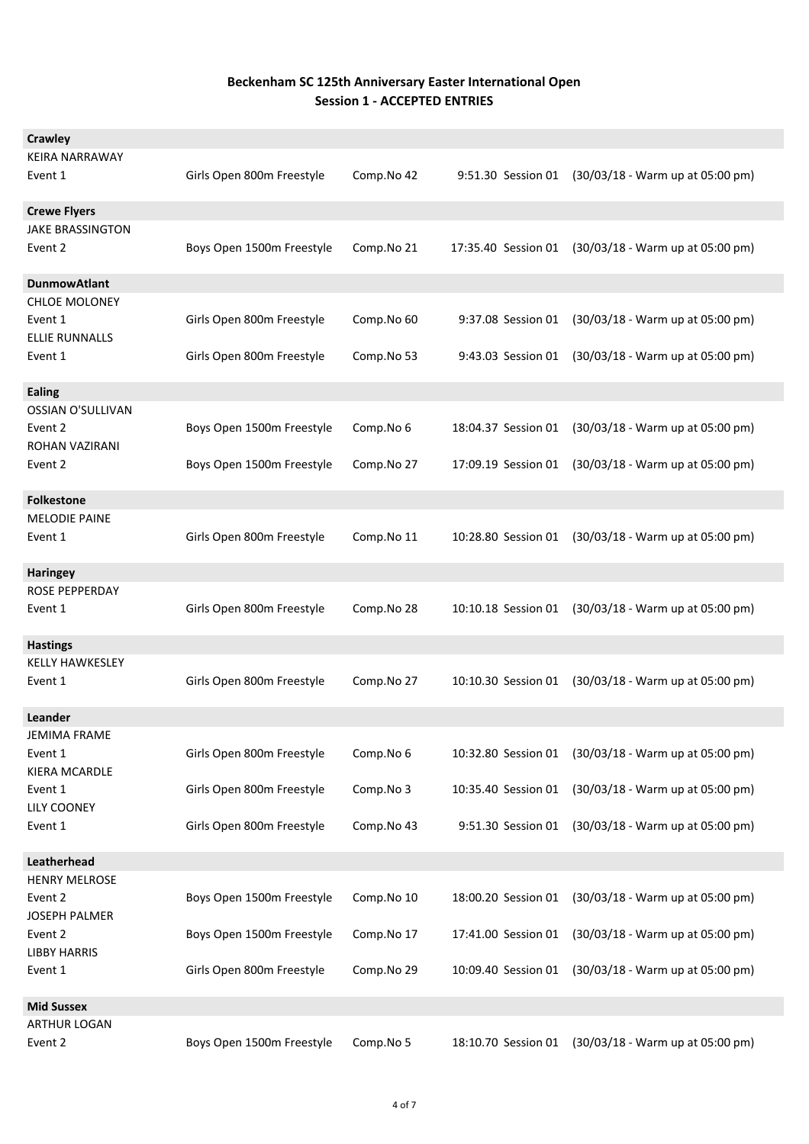| Crawley                                                             |                                                        |                          |                                          |                                                                      |
|---------------------------------------------------------------------|--------------------------------------------------------|--------------------------|------------------------------------------|----------------------------------------------------------------------|
| KEIRA NARRAWAY<br>Event 1                                           | Girls Open 800m Freestyle                              | Comp.No 42               | 9:51.30 Session 01                       | $(30/03/18 - Warm up at 05:00 pm)$                                   |
| <b>Crewe Flyers</b>                                                 |                                                        |                          |                                          |                                                                      |
| <b>JAKE BRASSINGTON</b><br>Event 2                                  | Boys Open 1500m Freestyle                              | Comp.No 21               | 17:35.40 Session 01                      | (30/03/18 - Warm up at 05:00 pm)                                     |
| <b>DunmowAtlant</b>                                                 |                                                        |                          |                                          |                                                                      |
| <b>CHLOE MOLONEY</b><br>Event 1<br><b>ELLIE RUNNALLS</b><br>Event 1 | Girls Open 800m Freestyle<br>Girls Open 800m Freestyle | Comp.No 60<br>Comp.No 53 | 9:37.08 Session 01<br>9:43.03 Session 01 | (30/03/18 - Warm up at 05:00 pm)<br>(30/03/18 - Warm up at 05:00 pm) |
|                                                                     |                                                        |                          |                                          |                                                                      |
| <b>Ealing</b>                                                       |                                                        |                          |                                          |                                                                      |
| <b>OSSIAN O'SULLIVAN</b><br>Event 2<br>ROHAN VAZIRANI               | Boys Open 1500m Freestyle                              | Comp.No 6                | 18:04.37 Session 01                      | (30/03/18 - Warm up at 05:00 pm)                                     |
| Event 2                                                             | Boys Open 1500m Freestyle                              | Comp.No 27               | 17:09.19 Session 01                      | (30/03/18 - Warm up at 05:00 pm)                                     |
| <b>Folkestone</b>                                                   |                                                        |                          |                                          |                                                                      |
| <b>MELODIE PAINE</b><br>Event 1                                     | Girls Open 800m Freestyle                              | Comp.No 11               | 10:28.80 Session 01                      | (30/03/18 - Warm up at 05:00 pm)                                     |
| <b>Haringey</b>                                                     |                                                        |                          |                                          |                                                                      |
| ROSE PEPPERDAY                                                      |                                                        |                          |                                          |                                                                      |
| Event 1                                                             | Girls Open 800m Freestyle                              | Comp.No 28               | 10:10.18 Session 01                      | (30/03/18 - Warm up at 05:00 pm)                                     |
| <b>Hastings</b>                                                     |                                                        |                          |                                          |                                                                      |
| <b>KELLY HAWKESLEY</b><br>Event 1                                   | Girls Open 800m Freestyle                              | Comp.No 27               | 10:10.30 Session 01                      | (30/03/18 - Warm up at 05:00 pm)                                     |
| Leander<br>JEMIMA FRAME                                             |                                                        |                          |                                          |                                                                      |
| Event 1<br>KIERA MCARDLE                                            | Girls Open 800m Freestyle                              | Comp.No 6                |                                          | 10:32.80 Session 01 (30/03/18 - Warm up at 05:00 pm)                 |
| Event 1<br>LILY COONEY                                              | Girls Open 800m Freestyle                              | Comp.No 3                | 10:35.40 Session 01                      | (30/03/18 - Warm up at 05:00 pm)                                     |
| Event 1                                                             | Girls Open 800m Freestyle                              | Comp.No 43               |                                          | 9:51.30 Session 01 (30/03/18 - Warm up at 05:00 pm)                  |
| Leatherhead                                                         |                                                        |                          |                                          |                                                                      |
| <b>HENRY MELROSE</b><br>Event 2<br>JOSEPH PALMER                    | Boys Open 1500m Freestyle                              | Comp.No 10               | 18:00.20 Session 01                      | (30/03/18 - Warm up at 05:00 pm)                                     |
| Event 2<br><b>LIBBY HARRIS</b>                                      | Boys Open 1500m Freestyle                              | Comp.No 17               | 17:41.00 Session 01                      | (30/03/18 - Warm up at 05:00 pm)                                     |
| Event 1                                                             | Girls Open 800m Freestyle                              | Comp.No 29               | 10:09.40 Session 01                      | (30/03/18 - Warm up at 05:00 pm)                                     |
| <b>Mid Sussex</b>                                                   |                                                        |                          |                                          |                                                                      |
| <b>ARTHUR LOGAN</b>                                                 |                                                        |                          |                                          |                                                                      |
| Event 2                                                             | Boys Open 1500m Freestyle                              | Comp.No 5                | 18:10.70 Session 01                      | (30/03/18 - Warm up at 05:00 pm)                                     |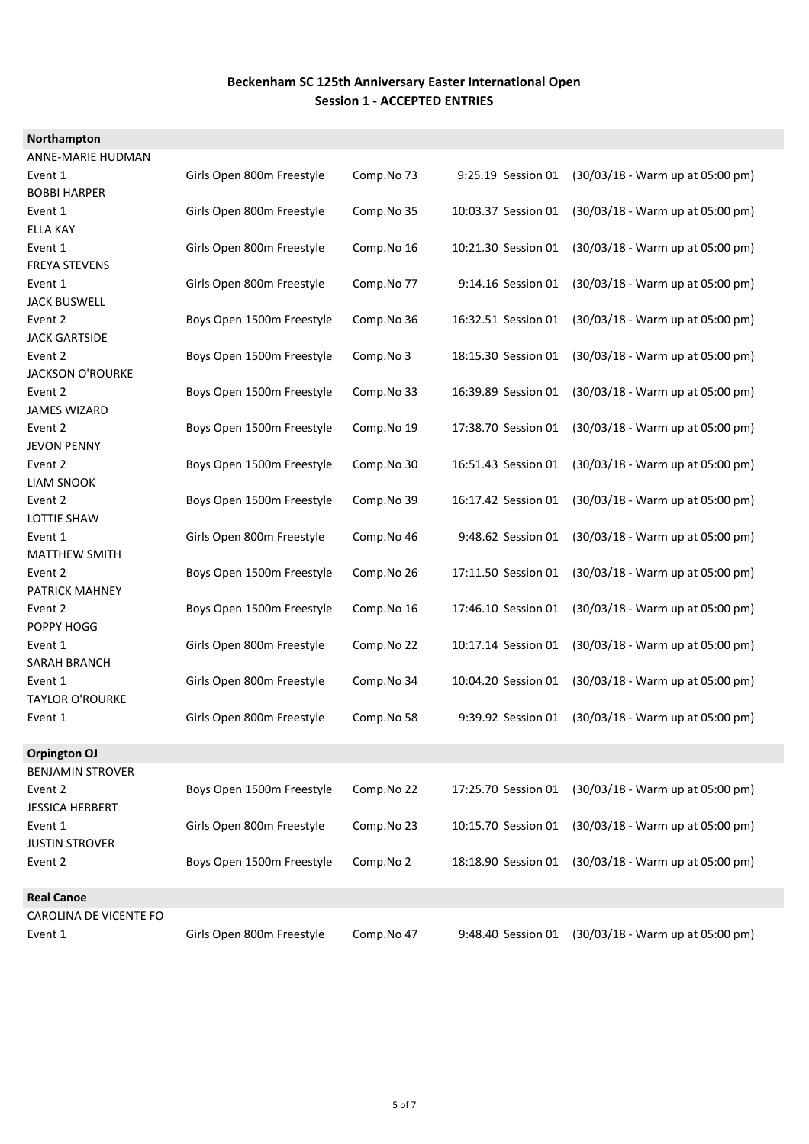| Northampton              |                           |            |                     |                                  |
|--------------------------|---------------------------|------------|---------------------|----------------------------------|
| <b>ANNE-MARIE HUDMAN</b> |                           |            |                     |                                  |
| Event 1                  | Girls Open 800m Freestyle | Comp.No 73 | 9:25.19 Session 01  | (30/03/18 - Warm up at 05:00 pm) |
| <b>BOBBI HARPER</b>      |                           |            |                     |                                  |
| Event 1                  | Girls Open 800m Freestyle | Comp.No 35 | 10:03.37 Session 01 | (30/03/18 - Warm up at 05:00 pm) |
| <b>ELLA KAY</b>          |                           |            |                     |                                  |
| Event 1                  | Girls Open 800m Freestyle | Comp.No 16 | 10:21.30 Session 01 | (30/03/18 - Warm up at 05:00 pm) |
| <b>FREYA STEVENS</b>     |                           |            |                     |                                  |
| Event 1                  | Girls Open 800m Freestyle | Comp.No 77 | 9:14.16 Session 01  | (30/03/18 - Warm up at 05:00 pm) |
| <b>JACK BUSWELL</b>      |                           |            |                     |                                  |
| Event 2                  | Boys Open 1500m Freestyle | Comp.No 36 | 16:32.51 Session 01 | (30/03/18 - Warm up at 05:00 pm) |
| <b>JACK GARTSIDE</b>     |                           |            |                     |                                  |
| Event 2                  | Boys Open 1500m Freestyle | Comp.No 3  | 18:15.30 Session 01 | (30/03/18 - Warm up at 05:00 pm) |
| <b>JACKSON O'ROURKE</b>  |                           |            |                     |                                  |
| Event 2                  | Boys Open 1500m Freestyle | Comp.No 33 | 16:39.89 Session 01 | (30/03/18 - Warm up at 05:00 pm) |
| <b>JAMES WIZARD</b>      |                           |            |                     |                                  |
| Event 2                  | Boys Open 1500m Freestyle | Comp.No 19 | 17:38.70 Session 01 | (30/03/18 - Warm up at 05:00 pm) |
| <b>JEVON PENNY</b>       |                           |            |                     |                                  |
| Event 2                  | Boys Open 1500m Freestyle | Comp.No 30 | 16:51.43 Session 01 | (30/03/18 - Warm up at 05:00 pm) |
| <b>LIAM SNOOK</b>        |                           |            |                     |                                  |
| Event 2                  | Boys Open 1500m Freestyle | Comp.No 39 | 16:17.42 Session 01 | (30/03/18 - Warm up at 05:00 pm) |
| <b>LOTTIE SHAW</b>       |                           |            |                     |                                  |
| Event 1                  | Girls Open 800m Freestyle | Comp.No 46 | 9:48.62 Session 01  | (30/03/18 - Warm up at 05:00 pm) |
| <b>MATTHEW SMITH</b>     |                           |            |                     |                                  |
| Event 2                  | Boys Open 1500m Freestyle | Comp.No 26 | 17:11.50 Session 01 | (30/03/18 - Warm up at 05:00 pm) |
| <b>PATRICK MAHNEY</b>    |                           |            |                     |                                  |
| Event 2                  | Boys Open 1500m Freestyle | Comp.No 16 | 17:46.10 Session 01 | (30/03/18 - Warm up at 05:00 pm) |
| POPPY HOGG               |                           |            |                     |                                  |
| Event 1                  | Girls Open 800m Freestyle | Comp.No 22 | 10:17.14 Session 01 | (30/03/18 - Warm up at 05:00 pm) |
| <b>SARAH BRANCH</b>      |                           |            |                     |                                  |
| Event 1                  | Girls Open 800m Freestyle | Comp.No 34 | 10:04.20 Session 01 | (30/03/18 - Warm up at 05:00 pm) |
| <b>TAYLOR O'ROURKE</b>   |                           |            |                     |                                  |
| Event 1                  | Girls Open 800m Freestyle | Comp.No 58 | 9:39.92 Session 01  | (30/03/18 - Warm up at 05:00 pm) |
| <b>Orpington OJ</b>      |                           |            |                     |                                  |
| <b>BENJAMIN STROVER</b>  |                           |            |                     |                                  |
| Event 2                  | Boys Open 1500m Freestyle | Comp.No 22 | 17:25.70 Session 01 | (30/03/18 - Warm up at 05:00 pm) |
| <b>JESSICA HERBERT</b>   |                           |            |                     |                                  |
| Event 1                  | Girls Open 800m Freestyle | Comp.No 23 | 10:15.70 Session 01 | (30/03/18 - Warm up at 05:00 pm) |
| <b>JUSTIN STROVER</b>    |                           |            |                     |                                  |
| Event 2                  | Boys Open 1500m Freestyle | Comp.No 2  | 18:18.90 Session 01 | (30/03/18 - Warm up at 05:00 pm) |
|                          |                           |            |                     |                                  |
| <b>Real Canoe</b>        |                           |            |                     |                                  |
| CAROLINA DE VICENTE FO   |                           |            |                     |                                  |
| Event 1                  | Girls Open 800m Freestyle | Comp.No 47 | 9:48.40 Session 01  | (30/03/18 - Warm up at 05:00 pm) |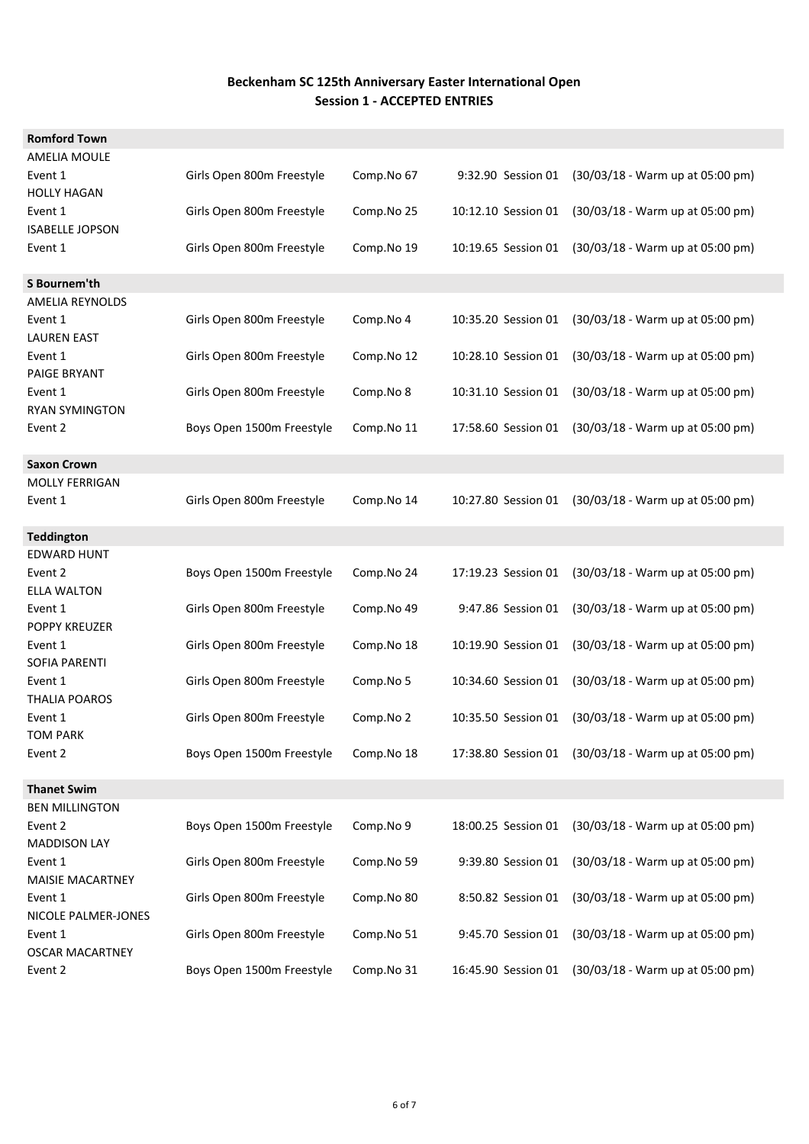| <b>Romford Town</b>    |                           |            |                     |                                                      |
|------------------------|---------------------------|------------|---------------------|------------------------------------------------------|
| <b>AMELIA MOULE</b>    |                           |            |                     |                                                      |
| Event 1                | Girls Open 800m Freestyle | Comp.No 67 | 9:32.90 Session 01  | (30/03/18 - Warm up at 05:00 pm)                     |
| <b>HOLLY HAGAN</b>     |                           |            |                     |                                                      |
| Event 1                | Girls Open 800m Freestyle | Comp.No 25 | 10:12.10 Session 01 | (30/03/18 - Warm up at 05:00 pm)                     |
| <b>ISABELLE JOPSON</b> |                           |            |                     |                                                      |
| Event 1                | Girls Open 800m Freestyle | Comp.No 19 | 10:19.65 Session 01 | $(30/03/18 - Warm up at 05:00 pm)$                   |
|                        |                           |            |                     |                                                      |
| S Bournem'th           |                           |            |                     |                                                      |
| AMELIA REYNOLDS        |                           |            |                     |                                                      |
| Event 1                | Girls Open 800m Freestyle | Comp.No 4  | 10:35.20 Session 01 | (30/03/18 - Warm up at 05:00 pm)                     |
| <b>LAUREN EAST</b>     |                           |            |                     |                                                      |
| Event 1                | Girls Open 800m Freestyle | Comp.No 12 | 10:28.10 Session 01 | (30/03/18 - Warm up at 05:00 pm)                     |
| <b>PAIGE BRYANT</b>    |                           |            |                     |                                                      |
| Event 1                | Girls Open 800m Freestyle | Comp.No 8  | 10:31.10 Session 01 | (30/03/18 - Warm up at 05:00 pm)                     |
| <b>RYAN SYMINGTON</b>  |                           |            |                     |                                                      |
| Event 2                | Boys Open 1500m Freestyle | Comp.No 11 | 17:58.60 Session 01 | (30/03/18 - Warm up at 05:00 pm)                     |
|                        |                           |            |                     |                                                      |
| <b>Saxon Crown</b>     |                           |            |                     |                                                      |
| <b>MOLLY FERRIGAN</b>  |                           |            |                     |                                                      |
| Event 1                | Girls Open 800m Freestyle | Comp.No 14 | 10:27.80 Session 01 | (30/03/18 - Warm up at 05:00 pm)                     |
| <b>Teddington</b>      |                           |            |                     |                                                      |
| <b>EDWARD HUNT</b>     |                           |            |                     |                                                      |
| Event 2                | Boys Open 1500m Freestyle | Comp.No 24 | 17:19.23 Session 01 | (30/03/18 - Warm up at 05:00 pm)                     |
| <b>ELLA WALTON</b>     |                           |            |                     |                                                      |
| Event 1                | Girls Open 800m Freestyle | Comp.No 49 | 9:47.86 Session 01  | (30/03/18 - Warm up at 05:00 pm)                     |
| POPPY KREUZER          |                           |            |                     |                                                      |
| Event 1                | Girls Open 800m Freestyle | Comp.No 18 | 10:19.90 Session 01 | (30/03/18 - Warm up at 05:00 pm)                     |
| SOFIA PARENTI          |                           |            |                     |                                                      |
| Event 1                | Girls Open 800m Freestyle | Comp.No 5  | 10:34.60 Session 01 | (30/03/18 - Warm up at 05:00 pm)                     |
| <b>THALIA POAROS</b>   |                           |            |                     |                                                      |
| Event 1                | Girls Open 800m Freestyle | Comp.No 2  | 10:35.50 Session 01 | (30/03/18 - Warm up at 05:00 pm)                     |
| <b>TOM PARK</b>        |                           |            |                     |                                                      |
| Event 2                | Boys Open 1500m Freestyle | Comp.No 18 |                     | 17:38.80 Session 01 (30/03/18 - Warm up at 05:00 pm) |
|                        |                           |            |                     |                                                      |
| <b>Thanet Swim</b>     |                           |            |                     |                                                      |
| <b>BEN MILLINGTON</b>  |                           |            |                     |                                                      |
| Event 2                | Boys Open 1500m Freestyle | Comp.No 9  | 18:00.25 Session 01 | (30/03/18 - Warm up at 05:00 pm)                     |
| <b>MADDISON LAY</b>    |                           |            |                     |                                                      |
| Event 1                | Girls Open 800m Freestyle | Comp.No 59 | 9:39.80 Session 01  | (30/03/18 - Warm up at 05:00 pm)                     |
| MAISIE MACARTNEY       |                           |            |                     |                                                      |
| Event 1                | Girls Open 800m Freestyle | Comp.No 80 | 8:50.82 Session 01  | (30/03/18 - Warm up at 05:00 pm)                     |
| NICOLE PALMER-JONES    |                           |            |                     |                                                      |
| Event 1                | Girls Open 800m Freestyle | Comp.No 51 | 9:45.70 Session 01  | (30/03/18 - Warm up at 05:00 pm)                     |
| <b>OSCAR MACARTNEY</b> |                           |            |                     |                                                      |
| Event 2                | Boys Open 1500m Freestyle | Comp.No 31 | 16:45.90 Session 01 | (30/03/18 - Warm up at 05:00 pm)                     |